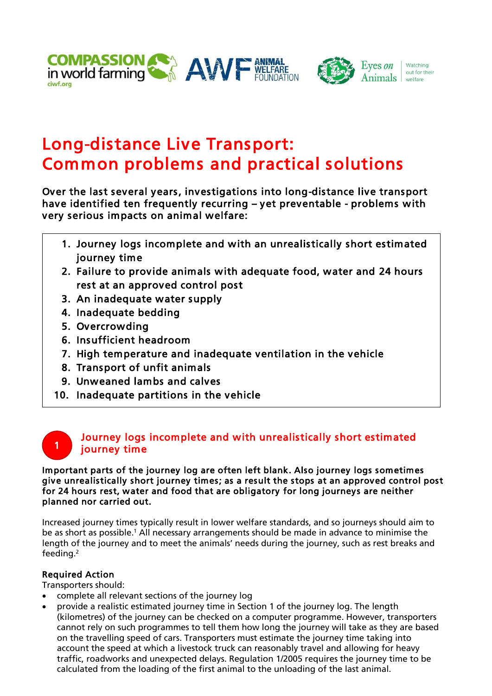



# Long-distance Live Transport: Common problems and practical solutions

Over the last several years, investigations into long-distance live transport have identified ten frequently recurring – yet preventable - problems with very serious impacts on animal welfare:

- 1. Journey logs incomplete and with an unrealistically short estimated journey time
- 2. Failure to provide animals with adequate food, water and 24 hours rest at an approved control post
- 3. An inadequate water supply
- 4. Inadequate bedding
- 5. Overcrowding
- 6. Insufficient headroom
- 7. High temperature and inadequate ventilation in the vehicle
- 8. Transport of unfit animals
- 9. Unweaned lambs and calves
- 10. Inadequate partitions in the vehicle

## Journey logs incomplete and with unrealistically short estimated journey time

### Important parts of the journey log are often left blank. Also journey logs sometimes give unrealistically short journey times; as a result the stops at an approved control post for 24 hours rest, water and food that are obligatory for long journeys are neither planned nor carried out.

Increased journey times typically result in lower welfare standards, and so journeys should aim to be as short as possible.<sup>1</sup> All necessary arrangements should be made in advance to minimise the length of the journey and to meet the animals' needs during the journey, such as rest breaks and feeding. 2

### Required Action

1

Transporters should:

- complete all relevant sections of the journey log
- provide a realistic estimated journey time in Section 1 of the journey log. The length (kilometres) of the journey can be checked on a computer programme. However, transporters cannot rely on such programmes to tell them how long the journey will take as they are based on the travelling speed of cars. Transporters must estimate the journey time taking into account the speed at which a livestock truck can reasonably travel and allowing for heavy traffic, roadworks and unexpected delays. Regulation 1/2005 requires the journey time to be calculated from the loading of the first animal to the unloading of the last animal.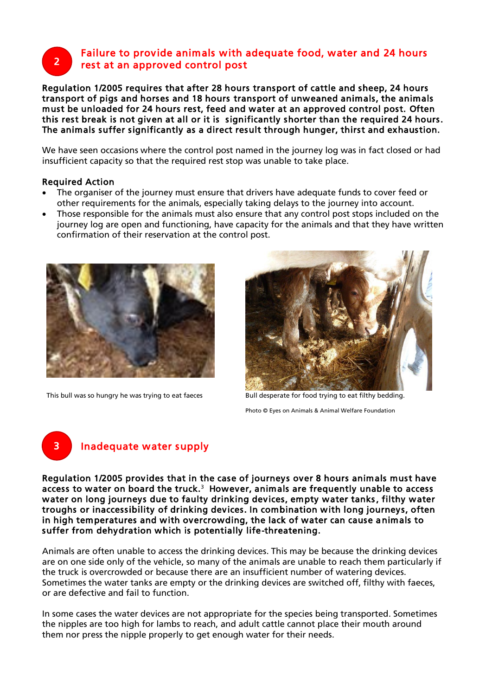## Failure to provide animals with adequate food, water and 24 hours rest at an approved control post

Regulation 1/2005 requires that after 28 hours transport of cattle and sheep, 24 hours transport of pigs and horses and 18 hours transport of unweaned animals, the animals must be unloaded for 24 hours rest, feed and water at an approved control post. Often this rest break is not given at all or it is significantly shorter than the required 24 hours. The animals suffer significantly as a direct result through hunger, thirst and exhaustion.

We have seen occasions where the control post named in the journey log was in fact closed or had insufficient capacity so that the required rest stop was unable to take place.

### Required Action

3

2

- The organiser of the journey must ensure that drivers have adequate funds to cover feed or other requirements for the animals, especially taking delays to the journey into account.
- Those responsible for the animals must also ensure that any control post stops included on the journey log are open and functioning, have capacity for the animals and that they have written confirmation of their reservation at the control post.



This bull was so hungry he was trying to eat faeces Bull desperate for food trying to eat filthy bedding.



Photo © Eyes on Animals & Animal Welfare Foundation

## Inadequate water supply

Regulation 1/2005 provides that in the case of journeys over 8 hours animals must have access to water on board the truck.<sup>3</sup> However, animals are frequently unable to access water on long journeys due to faulty drinking devices, empty water tanks, filthy water troughs or inaccessibility of drinking devices. In combination with long journeys, often in high temperatures and with overcrowding, the lack of water can cause animals to suffer from dehydration which is potentially life-threatening.

Animals are often unable to access the drinking devices. This may be because the drinking devices are on one side only of the vehicle, so many of the animals are unable to reach them particularly if the truck is overcrowded or because there are an insufficient number of watering devices. Sometimes the water tanks are empty or the drinking devices are switched off, filthy with faeces, or are defective and fail to function.

In some cases the water devices are not appropriate for the species being transported. Sometimes the nipples are too high for lambs to reach, and adult cattle cannot place their mouth around them nor press the nipple properly to get enough water for their needs.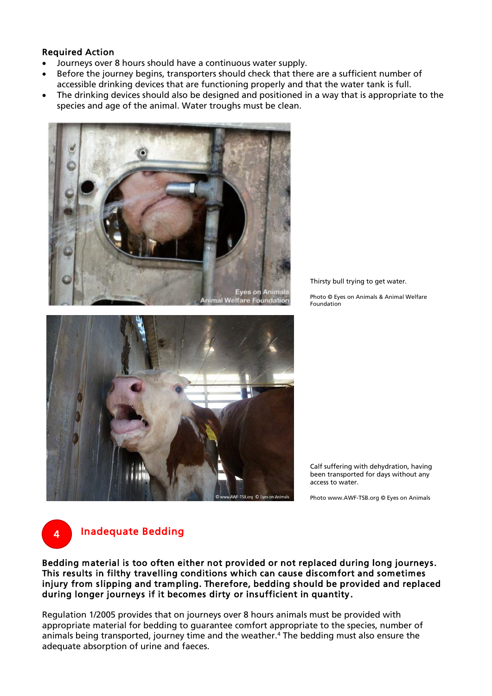### Required Action

- Journeys over 8 hours should have a continuous water supply.
- Before the journey begins, transporters should check that there are a sufficient number of accessible drinking devices that are functioning properly and that the water tank is full.
- The drinking devices should also be designed and positioned in a way that is appropriate to the species and age of the animal. Water troughs must be clean.





Thirsty bull trying to get water.

Photo © Eyes on Animals & Animal Welfare Foundation

Calf suffering with dehydration, having been transported for days without any access to water.

Photo www.AWF-TSB.org © Eyes on Animals

4

## Inadequate Bedding

Bedding material is too often either not provided or not replaced during long journeys. This results in filthy travelling conditions which can cause discomfort and sometimes injury from slipping and trampling. Therefore, bedding should be provided and replaced during longer journeys if it becomes dirty or insufficient in quantity .

Regulation 1/2005 provides that on journeys over 8 hours animals must be provided with appropriate material for bedding to guarantee comfort appropriate to the species, number of animals being transported, journey time and the weather.<sup>4</sup> The bedding must also ensure the adequate absorption of urine and faeces.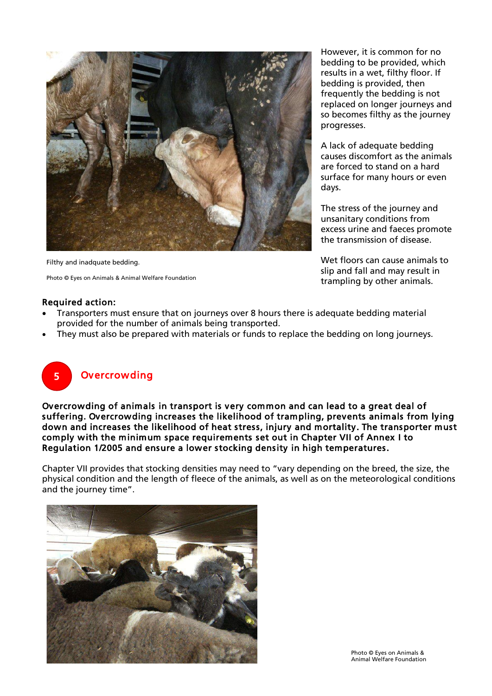

Filthy and inadquate bedding.

Photo © Eyes on Animals & Animal Welfare Foundation

However, it is common for no bedding to be provided, which results in a wet, filthy floor. If bedding is provided, then frequently the bedding is not replaced on longer journeys and so becomes filthy as the journey progresses.

A lack of adequate bedding causes discomfort as the animals are forced to stand on a hard surface for many hours or even days.

The stress of the journey and unsanitary conditions from excess urine and faeces promote the transmission of disease.

Wet floors can cause animals to slip and fall and may result in trampling by other animals.

#### Required action:

- Transporters must ensure that on journeys over 8 hours there is adequate bedding material provided for the number of animals being transported.
- They must also be prepared with materials or funds to replace the bedding on long journeys.



## **Overcrowding**

Overcrowding of animals in transport is very common and can lead to a great deal of suffering. Overcrowding increases the likelihood of trampling, prevents animals from lying down and increases the likelihood of heat stress, injury and mortality. The transporter must comply with the minimum space requirements set out in Chapter VII of Annex I to Regulation 1/2005 and ensure a lower stocking density in high temperatures.

Chapter VII provides that stocking densities may need to "vary depending on the breed, the size, the physical condition and the length of fleece of the animals, as well as on the meteorological conditions and the journey time".

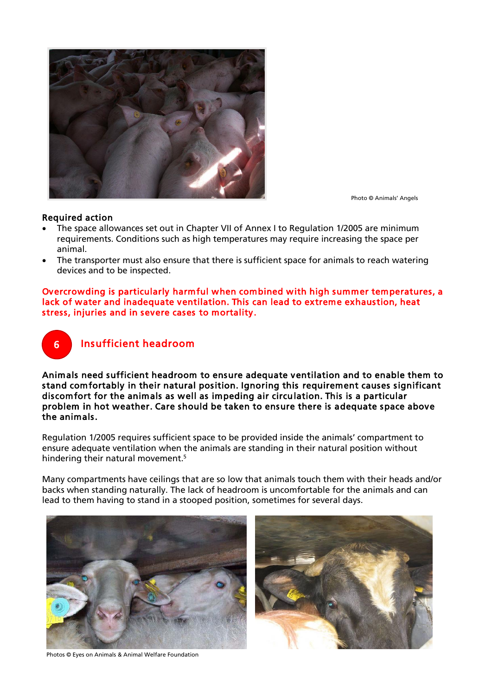

Photo © Animals' Angels

#### Required action

- The space allowances set out in Chapter VII of Annex I to Regulation 1/2005 are minimum requirements. Conditions such as high temperatures may require increasing the space per animal.
- The transporter must also ensure that there is sufficient space for animals to reach watering devices and to be inspected.

Overcrowding is particularly harmful when combined with high summer temperatures, a lack of water and inadequate ventilation. This can lead to extreme exhaustion, heat stress, injuries and in severe cases to mortality.



Animals need sufficient headroom to ensure adequate ventilation and to enable them to stand comfortably in their natural position. Ignoring this requirement causes significant discomfort for the animals as well as impeding air circulation. This is a particular problem in hot weather. Care should be taken to ensure there is adequate space above the animals.

Regulation 1/2005 requires sufficient space to be provided inside the animals' compartment to ensure adequate ventilation when the animals are standing in their natural position without hindering their natural movement.<sup>5</sup>

Many compartments have ceilings that are so low that animals touch them with their heads and/or backs when standing naturally. The lack of headroom is uncomfortable for the animals and can lead to them having to stand in a stooped position, sometimes for several days.





Photos © Eyes on Animals & Animal Welfare Foundation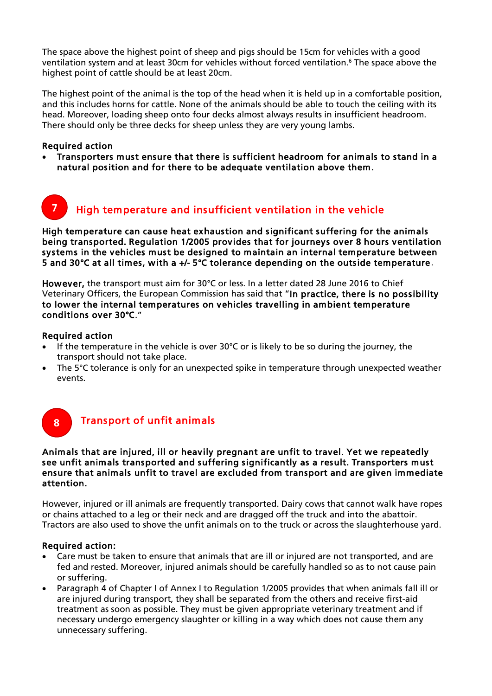The space above the highest point of sheep and pigs should be 15cm for vehicles with a good ventilation system and at least 30cm for vehicles without forced ventilation.<sup>6</sup> The space above the highest point of cattle should be at least 20cm.

The highest point of the animal is the top of the head when it is held up in a comfortable position, and this includes horns for cattle. None of the animals should be able to touch the ceiling with its head. Moreover, loading sheep onto four decks almost always results in insufficient headroom. There should only be three decks for sheep unless they are very young lambs.

### Required action

7

 Transporters must ensure that there is sufficient headroom for animals to stand in a natural position and for there to be adequate ventilation above them.

## High temperature and insufficient ventilation in the vehicle

High temperature can cause heat exhaustion and significant suffering for the animals being transported. Regulation 1/2005 provides that for journeys over 8 hours ventilation systems in the vehicles must be designed to maintain an internal temperature between 5 and 30°C at all times, with a +/- 5°C tolerance depending on the outside temperature.

However, the transport must aim for 30°C or less. In a letter dated 28 June 2016 to Chief Veterinary Officers, the European Commission has said that "In practice, there is no possibility to lower the internal temperatures on vehicles travelling in ambient temperature conditions over 30°C."

### Required action

8

- If the temperature in the vehicle is over 30°C or is likely to be so during the journey, the transport should not take place.
- The 5°C tolerance is only for an unexpected spike in temperature through unexpected weather events.

## Transport of unfit animals

### Animals that are injured, ill or heavily pregnant are unfit to travel. Yet we repeatedly see unfit animals transported and suffering significantly as a result. Transporters must ensure that animals unfit to travel are excluded from transport and are given immediate attention.

However, injured or ill animals are frequently transported. Dairy cows that cannot walk have ropes or chains attached to a leg or their neck and are dragged off the truck and into the abattoir. Tractors are also used to shove the unfit animals on to the truck or across the slaughterhouse yard.

### Required action:

- Care must be taken to ensure that animals that are ill or injured are not transported, and are fed and rested. Moreover, injured animals should be carefully handled so as to not cause pain or suffering.
- Paragraph 4 of Chapter I of Annex I to Regulation 1/2005 provides that when animals fall ill or are injured during transport, they shall be separated from the others and receive first-aid treatment as soon as possible. They must be given appropriate veterinary treatment and if necessary undergo emergency slaughter or killing in a way which does not cause them any unnecessary suffering.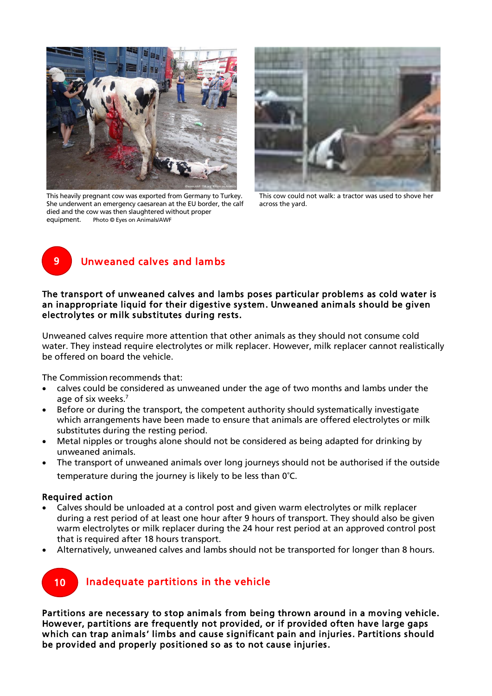

This heavily pregnant cow was exported from Germany to Turkey. She underwent an emergency caesarean at the EU border, the calf died and the cow was then slaughtered without proper equipment. Photo © Eyes on Animals/AWF



This cow could not walk: a tractor was used to shove her across the yard.



## Unweaned calves and lambs

### The transport of unweaned calves and lambs poses particular problems as cold water is an inappropriate liquid for their digestive system. Unweaned animals should be given electrolytes or milk substitutes during rests.

Unweaned calves require more attention that other animals as they should not consume cold water. They instead require electrolytes or milk replacer. However, milk replacer cannot realistically be offered on board the vehicle.

The Commission recommends that:

- calves could be considered as unweaned under the age of two months and lambs under the age of six weeks.<sup>7</sup>
- Before or during the transport, the competent authority should systematically investigate which arrangements have been made to ensure that animals are offered electrolytes or milk substitutes during the resting period.
- Metal nipples or troughs alone should not be considered as being adapted for drinking by unweaned animals.
- The transport of unweaned animals over long journeys should not be authorised if the outside temperature during the journey is likely to be less than 0°C.

### Required action

- Calves should be unloaded at a control post and given warm electrolytes or milk replacer during a rest period of at least one hour after 9 hours of transport. They should also be given warm electrolytes or milk replacer during the 24 hour rest period at an approved control post that is required after 18 hours transport.
- Alternatively, unweaned calves and lambs should not be transported for longer than 8 hours.



## Inadequate partitions in the vehicle

Partitions are necessary to stop animals from being thrown around in a moving vehicle. However, partitions are frequently not provided, or if provided often have large gaps which can trap animals' limbs and cause significant pain and injuries. Partitions should be provided and properly positioned so as to not cause injuries.